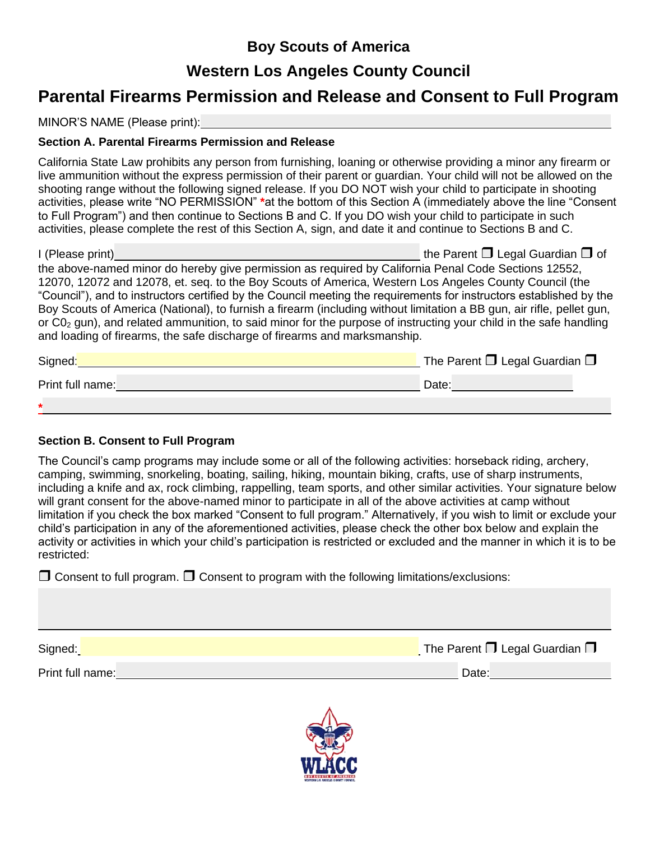# **Boy Scouts of America**

### **Western Los Angeles County Council**

## **Parental Firearms Permission and Release and Consent to Full Program**

MINOR'S NAME (Please print):

#### **Section A. Parental Firearms Permission and Release**

California State Law prohibits any person from furnishing, loaning or otherwise providing a minor any firearm or live ammunition without the express permission of their parent or guardian. Your child will not be allowed on the shooting range without the following signed release. If you DO NOT wish your child to participate in shooting activities, please write "NO PERMISSION" **\***at the bottom of this Section A (immediately above the line "Consent to Full Program") and then continue to Sections B and C. If you DO wish your child to participate in such activities, please complete the rest of this Section A, sign, and date it and continue to Sections B and C.

| I (Please print)                                                                                                      | the Parent $\square$ Legal Guardian $\square$ of |  |
|-----------------------------------------------------------------------------------------------------------------------|--------------------------------------------------|--|
| the above-named minor do hereby give permission as required by California Penal Code Sections 12552,                  |                                                  |  |
| 12070, 12072 and 12078, et. seg. to the Boy Scouts of America, Western Los Angeles County Council (the                |                                                  |  |
| "Council"), and to instructors certified by the Council meeting the requirements for instructors established by the   |                                                  |  |
| Boy Scouts of America (National), to furnish a firearm (including without limitation a BB gun, air rifle, pellet gun, |                                                  |  |
| or $CO2$ gun), and related ammunition, to said minor for the purpose of instructing your child in the safe handling   |                                                  |  |
| and loading of firearms, the safe discharge of firearms and marksmanship.                                             |                                                  |  |

| Signed:          | The Parent $\Box$ Legal Guardian $\Box$ |
|------------------|-----------------------------------------|
| Print full name: | Date:                                   |
| $\ast$           |                                         |

#### **Section B. Consent to Full Program**

The Council's camp programs may include some or all of the following activities: horseback riding, archery, camping, swimming, snorkeling, boating, sailing, hiking, mountain biking, crafts, use of sharp instruments, including a knife and ax, rock climbing, rappelling, team sports, and other similar activities. Your signature below will grant consent for the above-named minor to participate in all of the above activities at camp without limitation if you check the box marked "Consent to full program." Alternatively, if you wish to limit or exclude your child's participation in any of the aforementioned activities, please check the other box below and explain the activity or activities in which your child's participation is restricted or excluded and the manner in which it is to be restricted:

 $\Box$  Consent to full program.  $\Box$  Consent to program with the following limitations/exclusions:

| Signed:          | The Parent $\Box$ Legal Guardian $\Box$ |
|------------------|-----------------------------------------|
| Print full name: | Date:                                   |